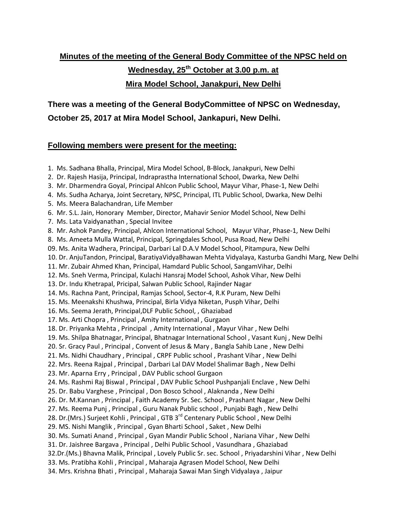## **Minutes of the meeting of the General Body Committee of the NPSC held on Wednesday, 25th October at 3.00 p.m. at Mira Model School, Janakpuri, New Delhi**

**There was a meeting of the General BodyCommittee of NPSC on Wednesday, October 25, 2017 at Mira Model School, Jankapuri, New Delhi.** 

### **Following members were present for the meeting:**

- 1. Ms. Sadhana Bhalla, Principal, Mira Model School, B-Block, Janakpuri, New Delhi
- 2. Dr. Rajesh Hasija, Principal, Indraprastha International School, Dwarka, New Delhi
- 3. Mr. Dharmendra Goyal, Principal Ahlcon Public School, Mayur Vihar, Phase-1, New Delhi
- 4. Ms. Sudha Acharya, Joint Secretary, NPSC, Principal, ITL Public School, Dwarka, New Delhi
- 5. Ms. Meera Balachandran, Life Member
- 6. Mr. S.L. Jain, Honorary Member, Director, Mahavir Senior Model School, New Delhi
- 7. Ms. Lata Vaidyanathan , Special Invitee
- 8. Mr. Ashok Pandey, Principal, Ahlcon International School, Mayur Vihar, Phase-1, New Delhi
- 8. Ms. Ameeta Mulla Wattal, Principal, Springdales School, Pusa Road, New Delhi
- 09. Ms. Anita Wadhera, Principal, Darbari Lal D.A.V Model School, Pitampura, New Delhi
- 10. Dr. AnjuTandon, Principal, BaratiyaVidyaBhawan Mehta Vidyalaya, Kasturba Gandhi Marg, New Delhi
- 11. Mr. Zubair Ahmed Khan, Principal, Hamdard Public School, SangamVihar, Delhi
- 12. Ms. Sneh Verma, Principal, Kulachi Hansraj Model School, Ashok Vihar, New Delhi
- 13. Dr. Indu Khetrapal, Pricipal, Salwan Public School, Rajinder Nagar
- 14. Ms. Rachna Pant, Principal, Ramjas School, Sector-4, R.K Puram, New Delhi
- 15. Ms. Meenakshi Khushwa, Principal, Birla Vidya Niketan, Pusph Vihar, Delhi
- 16. Ms. Seema Jerath, Principal,DLF Public School, , Ghaziabad
- 17. Ms. Arti Chopra , Principal , Amity International , Gurgaon
- 18. Dr. Priyanka Mehta , Principal , Amity International , Mayur Vihar , New Delhi
- 19. Ms. Shilpa Bhatnagar, Principal, Bhatnagar International School , Vasant Kunj , New Delhi
- 20. Sr. Gracy Paul , Principal , Convent of Jesus & Mary , Bangla Sahib Lane , New Delhi
- 21. Ms. Nidhi Chaudhary , Principal , CRPF Public school , Prashant Vihar , New Delhi
- 22. Mrs. Reena Rajpal , Principal , Darbari Lal DAV Model Shalimar Bagh , New Delhi
- 23. Mr. Aparna Erry , Principal , DAV Public school Gurgaon
- 24. Ms. Rashmi Raj Biswal , Principal , DAV Public School Pushpanjali Enclave , New Delhi
- 25. Dr. Babu Varghese , Principal , Don Bosco School , Alaknanda , New Delhi
- 26. Dr. M.Kannan , Principal , Faith Academy Sr. Sec. School , Prashant Nagar , New Delhi
- 27. Ms. Reema Punj , Principal , Guru Nanak Public school , Punjabi Bagh , New Delhi
- 28. Dr.(Mrs.) Surjeet Kohli, Principal, GTB 3<sup>rd</sup> Centenary Public School, New Delhi
- 29. MS. Nishi Manglik , Principal , Gyan Bharti School , Saket , New Delhi
- 30. Ms. Sumati Anand , Principal , Gyan Mandir Public School , Nariana Vihar , New Delhi
- 31. Dr. Jaishree Bargava , Principal , Delhi Public School , Vasundhara , Ghaziabad
- 32.Dr.(Ms.) Bhavna Malik, Principal , Lovely Public Sr. sec. School , Priyadarshini Vihar , New Delhi
- 33. Ms. Pratibha Kohli , Principal , Maharaja Agrasen Model School, New Delhi
- 34. Mrs. Krishna Bhati , Principal , Maharaja Sawai Man Singh Vidyalaya , Jaipur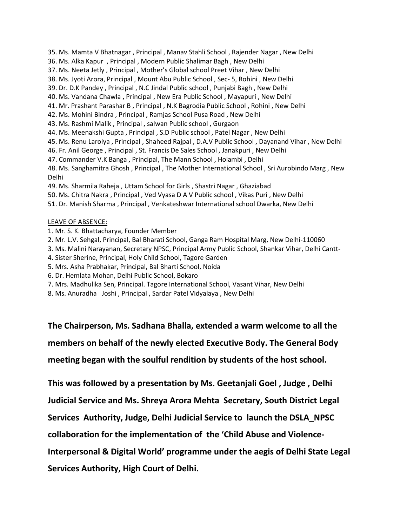- 35. Ms. Mamta V Bhatnagar , Principal , Manav Stahli School , Rajender Nagar , New Delhi
- 36. Ms. Alka Kapur , Principal , Modern Public Shalimar Bagh , New Delhi
- 37. Ms. Neeta Jetly , Principal , Mother's Global school Preet Vihar , New Delhi
- 38. Ms. Jyoti Arora, Principal , Mount Abu Public School , Sec- 5, Rohini , New Delhi
- 39. Dr. D.K Pandey , Principal , N.C Jindal Public school , Punjabi Bagh , New Delhi
- 40. Ms. Vandana Chawla , Principal , New Era Public School , Mayapuri , New Delhi
- 41. Mr. Prashant Parashar B , Principal , N.K Bagrodia Public School , Rohini , New Delhi
- 42. Ms. Mohini Bindra , Principal , Ramjas School Pusa Road , New Delhi
- 43. Ms. Rashmi Malik , Principal , salwan Public school , Gurgaon
- 44. Ms. Meenakshi Gupta , Principal , S.D Public school , Patel Nagar , New Delhi
- 45. Ms. Renu Laroiya , Principal , Shaheed Rajpal , D.A.V Public School , Dayanand Vihar , New Delhi
- 46. Fr. Anil George , Principal , St. Francis De Sales School , Janakpuri , New Delhi
- 47. Commander V.K Banga , Principal, The Mann School , Holambi , Delhi

48. Ms. Sanghamitra Ghosh , Principal , The Mother International School , Sri Aurobindo Marg , New Delhi

- 49. Ms. Sharmila Raheja , Uttam School for Girls , Shastri Nagar , Ghaziabad
- 50. Ms. Chitra Nakra , Principal , Ved Vyasa D A V Public school , Vikas Puri , New Delhi
- 51. Dr. Manish Sharma , Principal , Venkateshwar International school Dwarka, New Delhi

#### LEAVE OF ABSENCE:

- 1. Mr. S. K. Bhattacharya, Founder Member
- 2. Mr. L.V. Sehgal, Principal, Bal Bharati School, Ganga Ram Hospital Marg, New Delhi-110060
- 3. Ms. Malini Narayanan, Secretary NPSC, Principal Army Public School, Shankar Vihar, Delhi Cantt-
- 4. Sister Sherine, Principal, Holy Child School, Tagore Garden
- 5. Mrs. Asha Prabhakar, Principal, Bal Bharti School, Noida
- 6. Dr. Hemlata Mohan, Delhi Public School, Bokaro
- 7. Mrs. Madhulika Sen, Principal. Tagore International School, Vasant Vihar, New Delhi
- 8. Ms. Anuradha Joshi , Principal , Sardar Patel Vidyalaya , New Delhi

**The Chairperson, Ms. Sadhana Bhalla, extended a warm welcome to all the members on behalf of the newly elected Executive Body. The General Body meeting began with the soulful rendition by students of the host school.**

**This was followed by a presentation by Ms. Geetanjali Goel , Judge , Delhi** 

**Judicial Service and Ms. Shreya Arora Mehta Secretary, South District Legal** 

**Services Authority, Judge, Delhi Judicial Service to launch the DSLA\_NPSC** 

**collaboration for the implementation of the 'Child Abuse and Violence-**

**Interpersonal & Digital World' programme under the aegis of Delhi State Legal** 

**Services Authority, High Court of Delhi.**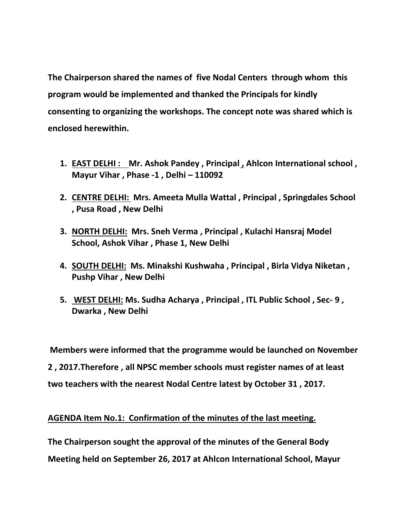**The Chairperson shared the names of five Nodal Centers through whom this program would be implemented and thanked the Principals for kindly consenting to organizing the workshops. The concept note was shared which is enclosed herewithin.**

- **1. EAST DELHI : Mr. Ashok Pandey , Principal , Ahlcon International school , Mayur Vihar , Phase -1 , Delhi – 110092**
- **2. CENTRE DELHI: Mrs. Ameeta Mulla Wattal , Principal , Springdales School , Pusa Road , New Delhi**
- **3. NORTH DELHI: Mrs. Sneh Verma , Principal , Kulachi Hansraj Model School, Ashok Vihar , Phase 1, New Delhi**
- **4. SOUTH DELHI: Ms. Minakshi Kushwaha , Principal , Birla Vidya Niketan , Pushp Vihar , New Delhi**
- **5. WEST DELHI: Ms. Sudha Acharya , Principal , ITL Public School , Sec- 9 , Dwarka , New Delhi**

**Members were informed that the programme would be launched on November 2 , 2017.Therefore , all NPSC member schools must register names of at least two teachers with the nearest Nodal Centre latest by October 31 , 2017.**

### **AGENDA Item No.1: Confirmation of the minutes of the last meeting.**

**The Chairperson sought the approval of the minutes of the General Body** 

**Meeting held on September 26, 2017 at Ahlcon International School, Mayur**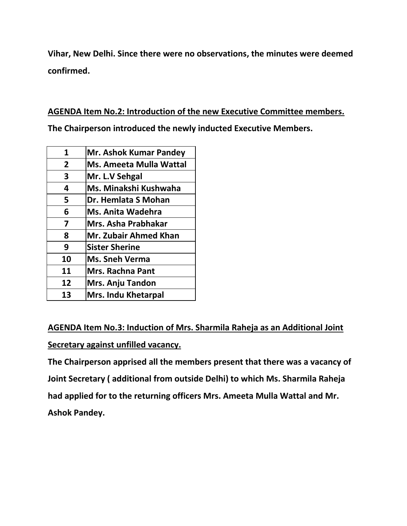**Vihar, New Delhi. Since there were no observations, the minutes were deemed confirmed.**

**AGENDA Item No.2: Introduction of the new Executive Committee members.**

**The Chairperson introduced the newly inducted Executive Members.** 

| <b>Mr. Ashok Kumar Pandey</b>  |
|--------------------------------|
| <b>Ms. Ameeta Mulla Wattal</b> |
| Mr. L.V Sehgal                 |
| Ms. Minakshi Kushwaha          |
| Dr. Hemlata S Mohan            |
| Ms. Anita Wadehra              |
| Mrs. Asha Prabhakar            |
| <b>Mr. Zubair Ahmed Khan</b>   |
| <b>Sister Sherine</b>          |
| <b>Ms. Sneh Verma</b>          |
| <b>Mrs. Rachna Pant</b>        |
| <b>Mrs. Anju Tandon</b>        |
| <b>Mrs. Indu Khetarpal</b>     |
|                                |

**AGENDA Item No.3: Induction of Mrs. Sharmila Raheja as an Additional Joint Secretary against unfilled vacancy.**

**The Chairperson apprised all the members present that there was a vacancy of Joint Secretary ( additional from outside Delhi) to which Ms. Sharmila Raheja had applied for to the returning officers Mrs. Ameeta Mulla Wattal and Mr. Ashok Pandey.**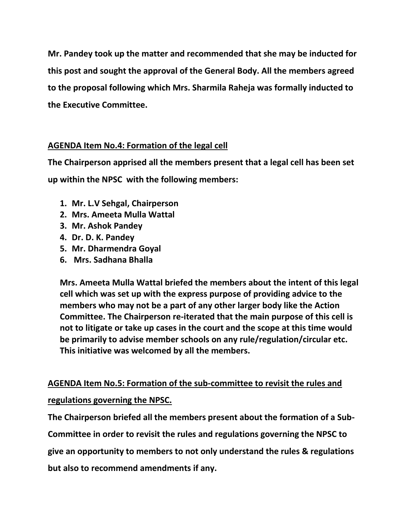**Mr. Pandey took up the matter and recommended that she may be inducted for this post and sought the approval of the General Body. All the members agreed to the proposal following which Mrs. Sharmila Raheja was formally inducted to the Executive Committee.**

### **AGENDA Item No.4: Formation of the legal cell**

**The Chairperson apprised all the members present that a legal cell has been set up within the NPSC with the following members:**

- **1. Mr. L.V Sehgal, Chairperson**
- **2. Mrs. Ameeta Mulla Wattal**
- **3. Mr. Ashok Pandey**
- **4. Dr. D. K. Pandey**
- **5. Mr. Dharmendra Goyal**
- **6. Mrs. Sadhana Bhalla**

**Mrs. Ameeta Mulla Wattal briefed the members about the intent of this legal cell which was set up with the express purpose of providing advice to the members who may not be a part of any other larger body like the Action Committee. The Chairperson re-iterated that the main purpose of this cell is not to litigate or take up cases in the court and the scope at this time would be primarily to advise member schools on any rule/regulation/circular etc. This initiative was welcomed by all the members.**

**AGENDA Item No.5: Formation of the sub-committee to revisit the rules and regulations governing the NPSC.**

**The Chairperson briefed all the members present about the formation of a Sub-**

**Committee in order to revisit the rules and regulations governing the NPSC to** 

**give an opportunity to members to not only understand the rules & regulations** 

**but also to recommend amendments if any.**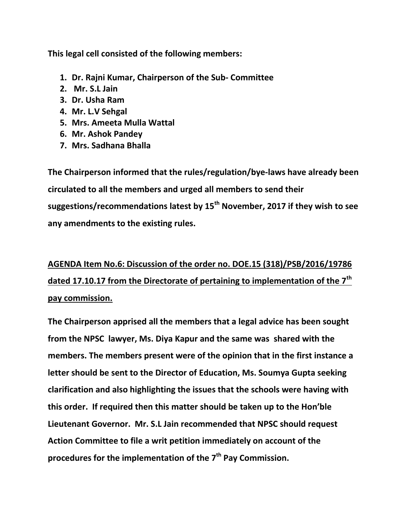**This legal cell consisted of the following members:**

- **1. Dr. Rajni Kumar, Chairperson of the Sub- Committee**
- **2. Mr. S.L Jain**
- **3. Dr. Usha Ram**
- **4. Mr. L.V Sehgal**
- **5. Mrs. Ameeta Mulla Wattal**
- **6. Mr. Ashok Pandey**
- **7. Mrs. Sadhana Bhalla**

**The Chairperson informed that the rules/regulation/bye-laws have already been circulated to all the members and urged all members to send their suggestions/recommendations latest by 15th November, 2017 if they wish to see any amendments to the existing rules.**

# **AGENDA Item No.6: Discussion of the order no. DOE.15 (318)/PSB/2016/19786 dated 17.10.17 from the Directorate of pertaining to implementation of the 7th pay commission.**

**The Chairperson apprised all the members that a legal advice has been sought from the NPSC lawyer, Ms. Diya Kapur and the same was shared with the members. The members present were of the opinion that in the first instance a letter should be sent to the Director of Education, Ms. Soumya Gupta seeking clarification and also highlighting the issues that the schools were having with this order. If required then this matter should be taken up to the Hon'ble Lieutenant Governor. Mr. S.L Jain recommended that NPSC should request Action Committee to file a writ petition immediately on account of the procedures for the implementation of the 7th Pay Commission.**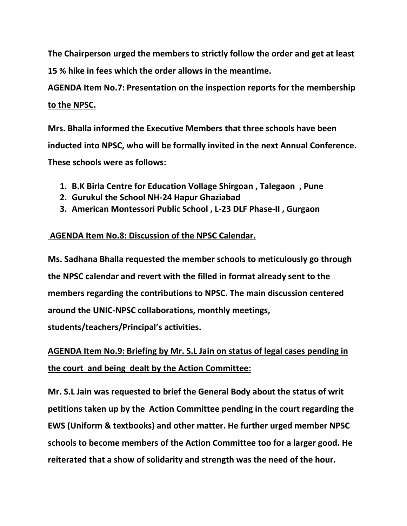**The Chairperson urged the members to strictly follow the order and get at least 15 % hike in fees which the order allows in the meantime.**

# **AGENDA Item No.7: Presentation on the inspection reports for the membership to the NPSC.**

**Mrs. Bhalla informed the Executive Members that three schools have been inducted into NPSC, who will be formally invited in the next Annual Conference. These schools were as follows:**

- **1. B.K Birla Centre for Education Vollage Shirgoan , Talegaon , Pune**
- **2. Gurukul the School NH-24 Hapur Ghaziabad**
- **3. American Montessori Public School , L-23 DLF Phase-II , Gurgaon**

## **AGENDA Item No.8: Discussion of the NPSC Calendar.**

**Ms. Sadhana Bhalla requested the member schools to meticulously go through the NPSC calendar and revert with the filled in format already sent to the members regarding the contributions to NPSC. The main discussion centered around the UNIC-NPSC collaborations, monthly meetings,** 

**students/teachers/Principal's activities.**

# **AGENDA Item No.9: Briefing by Mr. S.L Jain on status of legal cases pending in the court and being dealt by the Action Committee:**

**Mr. S.L Jain was requested to brief the General Body about the status of writ petitions taken up by the Action Committee pending in the court regarding the EWS (Uniform & textbooks) and other matter. He further urged member NPSC schools to become members of the Action Committee too for a larger good. He reiterated that a show of solidarity and strength was the need of the hour.**